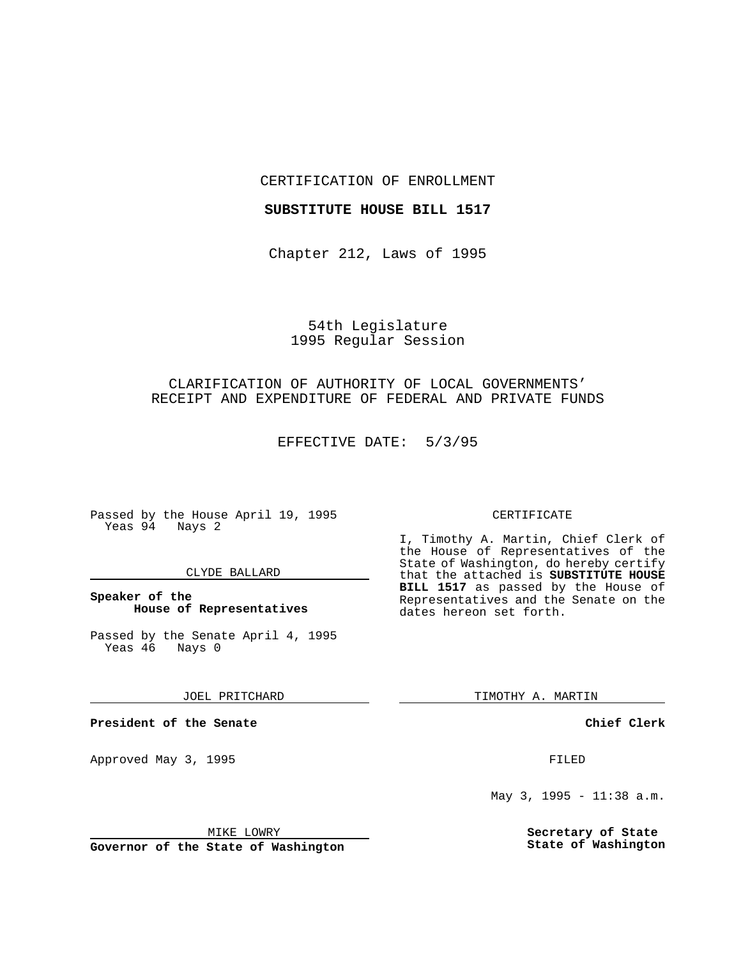CERTIFICATION OF ENROLLMENT

### **SUBSTITUTE HOUSE BILL 1517**

Chapter 212, Laws of 1995

# 54th Legislature 1995 Regular Session

# CLARIFICATION OF AUTHORITY OF LOCAL GOVERNMENTS' RECEIPT AND EXPENDITURE OF FEDERAL AND PRIVATE FUNDS

EFFECTIVE DATE: 5/3/95

Passed by the House April 19, 1995 Yeas 94 Nays 2

#### CLYDE BALLARD

## **Speaker of the House of Representatives**

Passed by the Senate April 4, 1995<br>Yeas 46 Nays 0 Yeas 46

JOEL PRITCHARD

**President of the Senate**

Approved May 3, 1995 **FILED** 

#### MIKE LOWRY

**Governor of the State of Washington**

#### CERTIFICATE

I, Timothy A. Martin, Chief Clerk of the House of Representatives of the State of Washington, do hereby certify that the attached is **SUBSTITUTE HOUSE BILL 1517** as passed by the House of Representatives and the Senate on the dates hereon set forth.

TIMOTHY A. MARTIN

**Chief Clerk**

May 3, 1995 - 11:38 a.m.

**Secretary of State State of Washington**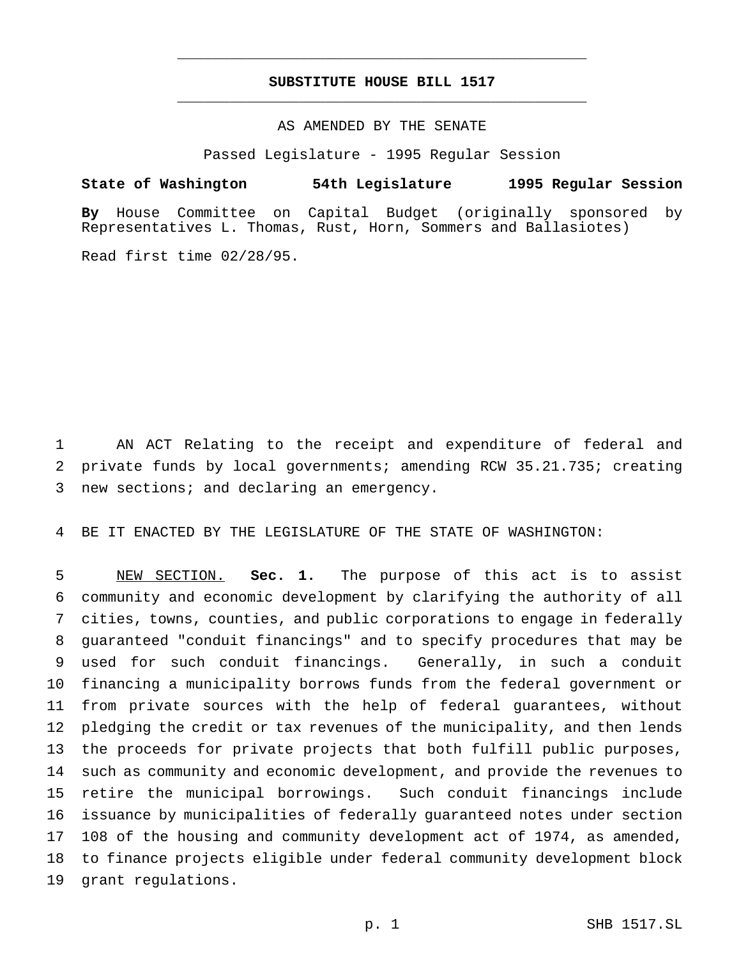# **SUBSTITUTE HOUSE BILL 1517** \_\_\_\_\_\_\_\_\_\_\_\_\_\_\_\_\_\_\_\_\_\_\_\_\_\_\_\_\_\_\_\_\_\_\_\_\_\_\_\_\_\_\_\_\_\_\_

\_\_\_\_\_\_\_\_\_\_\_\_\_\_\_\_\_\_\_\_\_\_\_\_\_\_\_\_\_\_\_\_\_\_\_\_\_\_\_\_\_\_\_\_\_\_\_

## AS AMENDED BY THE SENATE

Passed Legislature - 1995 Regular Session

### **State of Washington 54th Legislature 1995 Regular Session**

**By** House Committee on Capital Budget (originally sponsored by Representatives L. Thomas, Rust, Horn, Sommers and Ballasiotes)

Read first time 02/28/95.

 AN ACT Relating to the receipt and expenditure of federal and private funds by local governments; amending RCW 35.21.735; creating new sections; and declaring an emergency.

BE IT ENACTED BY THE LEGISLATURE OF THE STATE OF WASHINGTON:

 NEW SECTION. **Sec. 1.** The purpose of this act is to assist community and economic development by clarifying the authority of all cities, towns, counties, and public corporations to engage in federally guaranteed "conduit financings" and to specify procedures that may be used for such conduit financings. Generally, in such a conduit financing a municipality borrows funds from the federal government or from private sources with the help of federal guarantees, without pledging the credit or tax revenues of the municipality, and then lends the proceeds for private projects that both fulfill public purposes, such as community and economic development, and provide the revenues to retire the municipal borrowings. Such conduit financings include issuance by municipalities of federally guaranteed notes under section 108 of the housing and community development act of 1974, as amended, to finance projects eligible under federal community development block grant regulations.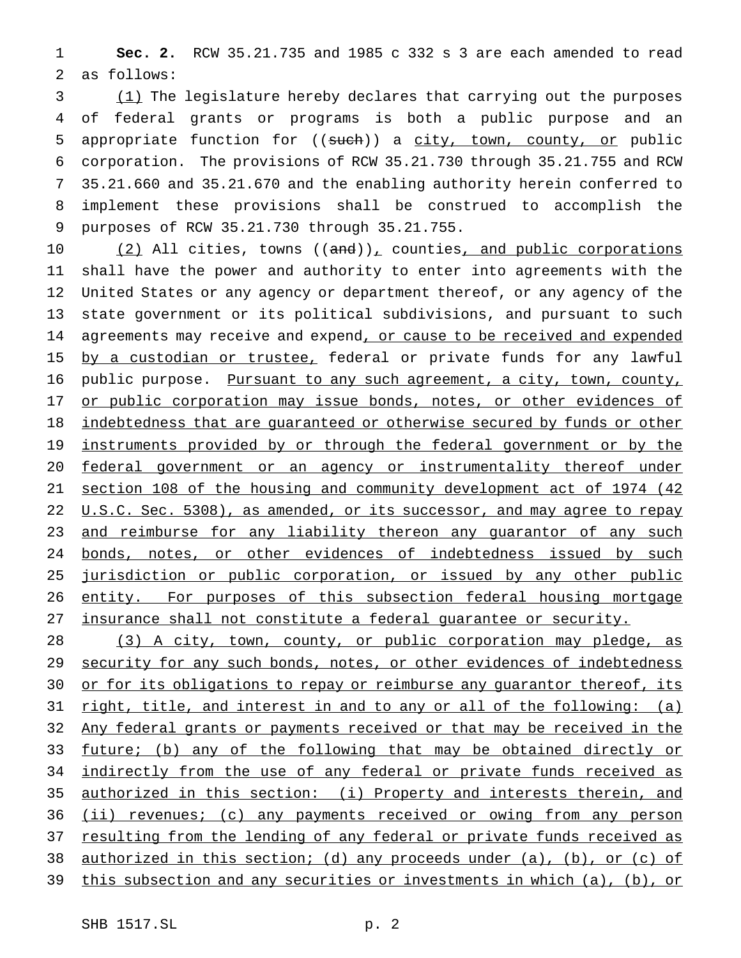1 **Sec. 2.** RCW 35.21.735 and 1985 c 332 s 3 are each amended to read 2 as follows:

3 (1) The legislature hereby declares that carrying out the purposes of federal grants or programs is both a public purpose and an 5 appropriate function for ((such)) a city, town, county, or public corporation. The provisions of RCW 35.21.730 through 35.21.755 and RCW 35.21.660 and 35.21.670 and the enabling authority herein conferred to implement these provisions shall be construed to accomplish the purposes of RCW 35.21.730 through 35.21.755.

10  $(2)$  All cities, towns  $((and))_{\text{L}}$  counties, and public corporations 11 shall have the power and authority to enter into agreements with the 12 United States or any agency or department thereof, or any agency of the 13 state government or its political subdivisions, and pursuant to such 14 agreements may receive and expend, or cause to be received and expended 15 by a custodian or trustee, federal or private funds for any lawful 16 public purpose. Pursuant to any such agreement, a city, town, county, 17 or public corporation may issue bonds, notes, or other evidences of 18 indebtedness that are guaranteed or otherwise secured by funds or other 19 instruments provided by or through the federal government or by the 20 federal government or an agency or instrumentality thereof under 21 section 108 of the housing and community development act of 1974 (42 22 U.S.C. Sec. 5308), as amended, or its successor, and may agree to repay 23 and reimburse for any liability thereon any quarantor of any such 24 bonds, notes, or other evidences of indebtedness issued by such 25 jurisdiction or public corporation, or issued by any other public 26 entity. For purposes of this subsection federal housing mortgage 27 insurance shall not constitute a federal guarantee or security.

28 (3) A city, town, county, or public corporation may pledge, as 29 security for any such bonds, notes, or other evidences of indebtedness 30 or for its obligations to repay or reimburse any guarantor thereof, its 31 right, title, and interest in and to any or all of the following: (a) 32 Any federal grants or payments received or that may be received in the 33 future; (b) any of the following that may be obtained directly or 34 indirectly from the use of any federal or private funds received as 35 authorized in this section: (i) Property and interests therein, and 36 (ii) revenues; (c) any payments received or owing from any person 37 resulting from the lending of any federal or private funds received as 38 authorized in this section; (d) any proceeds under (a), (b), or (c) of 39 this subsection and any securities or investments in which (a), (b), or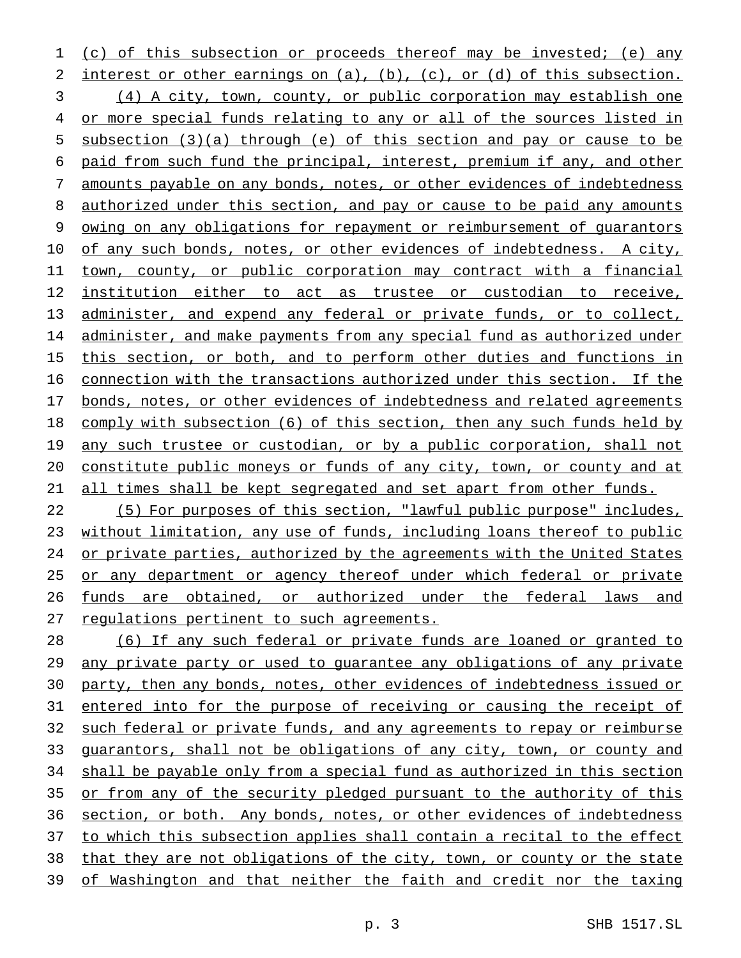(c) of this subsection or proceeds thereof may be invested; (e) any 2 interest or other earnings on (a), (b), (c), or (d) of this subsection. (4) A city, town, county, or public corporation may establish one 4 or more special funds relating to any or all of the sources listed in subsection (3)(a) through (e) of this section and pay or cause to be paid from such fund the principal, interest, premium if any, and other amounts payable on any bonds, notes, or other evidences of indebtedness 8 authorized under this section, and pay or cause to be paid any amounts owing on any obligations for repayment or reimbursement of guarantors 10 of any such bonds, notes, or other evidences of indebtedness. A city, town, county, or public corporation may contract with a financial institution either to act as trustee or custodian to receive, administer, and expend any federal or private funds, or to collect, 14 administer, and make payments from any special fund as authorized under 15 this section, or both, and to perform other duties and functions in connection with the transactions authorized under this section. If the 17 bonds, notes, or other evidences of indebtedness and related agreements comply with subsection (6) of this section, then any such funds held by 19 any such trustee or custodian, or by a public corporation, shall not constitute public moneys or funds of any city, town, or county and at 21 all times shall be kept segregated and set apart from other funds.

 (5) For purposes of this section, "lawful public purpose" includes, without limitation, any use of funds, including loans thereof to public 24 or private parties, authorized by the agreements with the United States 25 or any department or agency thereof under which federal or private funds are obtained, or authorized under the federal laws and 27 regulations pertinent to such agreements.

 (6) If any such federal or private funds are loaned or granted to 29 any private party or used to guarantee any obligations of any private party, then any bonds, notes, other evidences of indebtedness issued or entered into for the purpose of receiving or causing the receipt of such federal or private funds, and any agreements to repay or reimburse guarantors, shall not be obligations of any city, town, or county and shall be payable only from a special fund as authorized in this section 35 or from any of the security pledged pursuant to the authority of this section, or both. Any bonds, notes, or other evidences of indebtedness to which this subsection applies shall contain a recital to the effect that they are not obligations of the city, town, or county or the state of Washington and that neither the faith and credit nor the taxing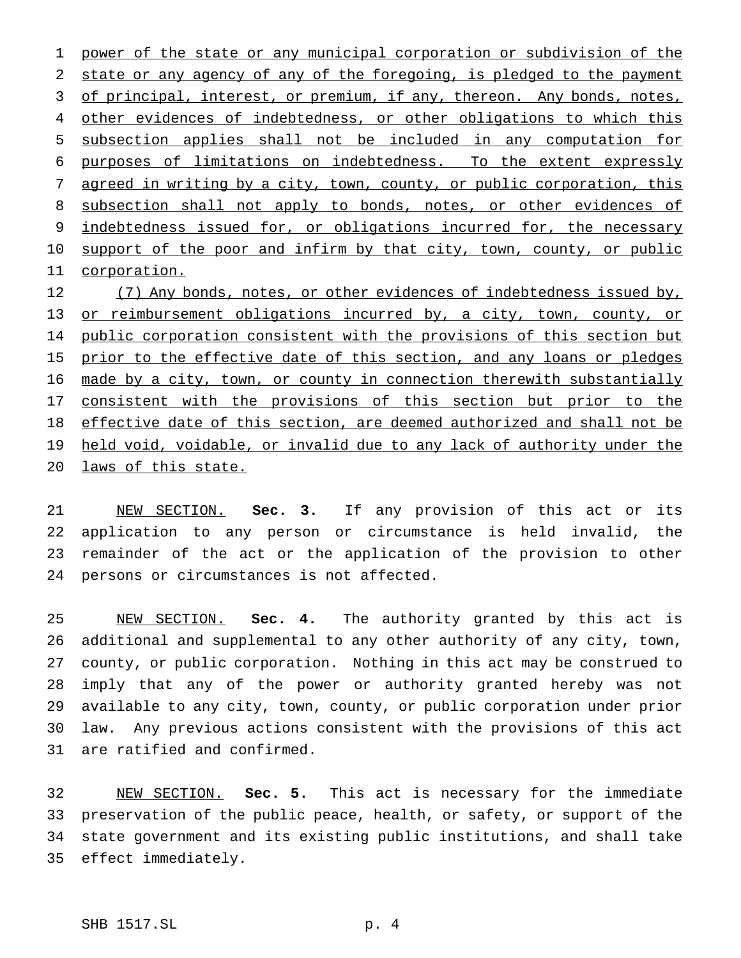power of the state or any municipal corporation or subdivision of the state or any agency of any of the foregoing, is pledged to the payment 3 of principal, interest, or premium, if any, thereon. Any bonds, notes, 4 other evidences of indebtedness, or other obligations to which this subsection applies shall not be included in any computation for purposes of limitations on indebtedness. To the extent expressly agreed in writing by a city, town, county, or public corporation, this 8 subsection shall not apply to bonds, notes, or other evidences of indebtedness issued for, or obligations incurred for, the necessary 10 support of the poor and infirm by that city, town, county, or public corporation.

12 (7) Any bonds, notes, or other evidences of indebtedness issued by, 13 or reimbursement obligations incurred by, a city, town, county, or 14 public corporation consistent with the provisions of this section but 15 prior to the effective date of this section, and any loans or pledges 16 made by a city, town, or county in connection therewith substantially consistent with the provisions of this section but prior to the effective date of this section, are deemed authorized and shall not be 19 held void, voidable, or invalid due to any lack of authority under the laws of this state.

 NEW SECTION. **Sec. 3.** If any provision of this act or its application to any person or circumstance is held invalid, the remainder of the act or the application of the provision to other persons or circumstances is not affected.

 NEW SECTION. **Sec. 4.** The authority granted by this act is additional and supplemental to any other authority of any city, town, county, or public corporation. Nothing in this act may be construed to imply that any of the power or authority granted hereby was not available to any city, town, county, or public corporation under prior law. Any previous actions consistent with the provisions of this act are ratified and confirmed.

 NEW SECTION. **Sec. 5.** This act is necessary for the immediate preservation of the public peace, health, or safety, or support of the state government and its existing public institutions, and shall take effect immediately.